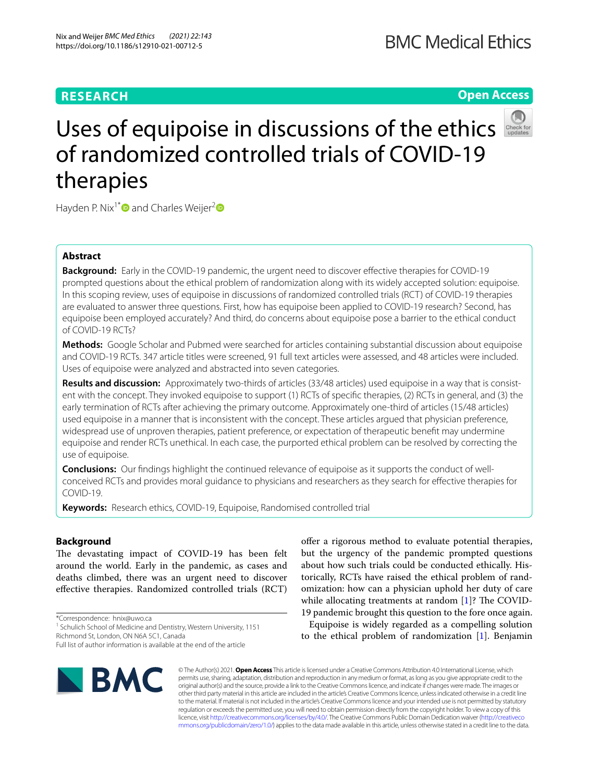# **RESEARCH**

# **Open Access**



# Uses of equipoise in discussions of the ethics of randomized controlled trials of COVID-19 therapies

Hayden P. Nix<sup>1[\\*](http://orcid.org/0000-0002-4205-5857)</sup> and Charles Weijer<sup>[2](http://orcid.org/0000-0002-5510-1074)</sup>

# **Abstract**

**Background:** Early in the COVID-19 pandemic, the urgent need to discover effective therapies for COVID-19 prompted questions about the ethical problem of randomization along with its widely accepted solution: equipoise. In this scoping review, uses of equipoise in discussions of randomized controlled trials (RCT) of COVID-19 therapies are evaluated to answer three questions. First, how has equipoise been applied to COVID-19 research? Second, has equipoise been employed accurately? And third, do concerns about equipoise pose a barrier to the ethical conduct of COVID-19 RCTs?

**Methods:** Google Scholar and Pubmed were searched for articles containing substantial discussion about equipoise and COVID-19 RCTs. 347 article titles were screened, 91 full text articles were assessed, and 48 articles were included. Uses of equipoise were analyzed and abstracted into seven categories.

**Results and discussion:** Approximately two-thirds of articles (33/48 articles) used equipoise in a way that is consistent with the concept. They invoked equipoise to support (1) RCTs of specifc therapies, (2) RCTs in general, and (3) the early termination of RCTs after achieving the primary outcome. Approximately one-third of articles (15/48 articles) used equipoise in a manner that is inconsistent with the concept. These articles argued that physician preference, widespread use of unproven therapies, patient preference, or expectation of therapeutic beneft may undermine equipoise and render RCTs unethical. In each case, the purported ethical problem can be resolved by correcting the use of equipoise.

**Conclusions:** Our fndings highlight the continued relevance of equipoise as it supports the conduct of wellconceived RCTs and provides moral guidance to physicians and researchers as they search for efective therapies for COVID-19.

**Keywords:** Research ethics, COVID-19, Equipoise, Randomised controlled trial

# **Background**

The devastating impact of COVID-19 has been felt around the world. Early in the pandemic, as cases and deaths climbed, there was an urgent need to discover efective therapies. Randomized controlled trials (RCT)

\*Correspondence: hnix@uwo.ca

Full list of author information is available at the end of the article



ofer a rigorous method to evaluate potential therapies, but the urgency of the pandemic prompted questions about how such trials could be conducted ethically. Historically, RCTs have raised the ethical problem of randomization: how can a physician uphold her duty of care while allocating treatments at random  $[1]$  $[1]$ ? The COVID-19 pandemic brought this question to the fore once again.

Equipoise is widely regarded as a compelling solution to the ethical problem of randomization [[1\]](#page-6-0). Benjamin

© The Author(s) 2021. **Open Access** This article is licensed under a Creative Commons Attribution 4.0 International License, which permits use, sharing, adaptation, distribution and reproduction in any medium or format, as long as you give appropriate credit to the original author(s) and the source, provide a link to the Creative Commons licence, and indicate if changes were made. The images or other third party material in this article are included in the article's Creative Commons licence, unless indicated otherwise in a credit line to the material. If material is not included in the article's Creative Commons licence and your intended use is not permitted by statutory regulation or exceeds the permitted use, you will need to obtain permission directly from the copyright holder. To view a copy of this licence, visit [http://creativecommons.org/licenses/by/4.0/.](http://creativecommons.org/licenses/by/4.0/) The Creative Commons Public Domain Dedication waiver ([http://creativeco](http://creativecommons.org/publicdomain/zero/1.0/) [mmons.org/publicdomain/zero/1.0/](http://creativecommons.org/publicdomain/zero/1.0/)) applies to the data made available in this article, unless otherwise stated in a credit line to the data.

<sup>&</sup>lt;sup>1</sup> Schulich School of Medicine and Dentistry, Western University, 1151 Richmond St, London, ON N6A 5C1, Canada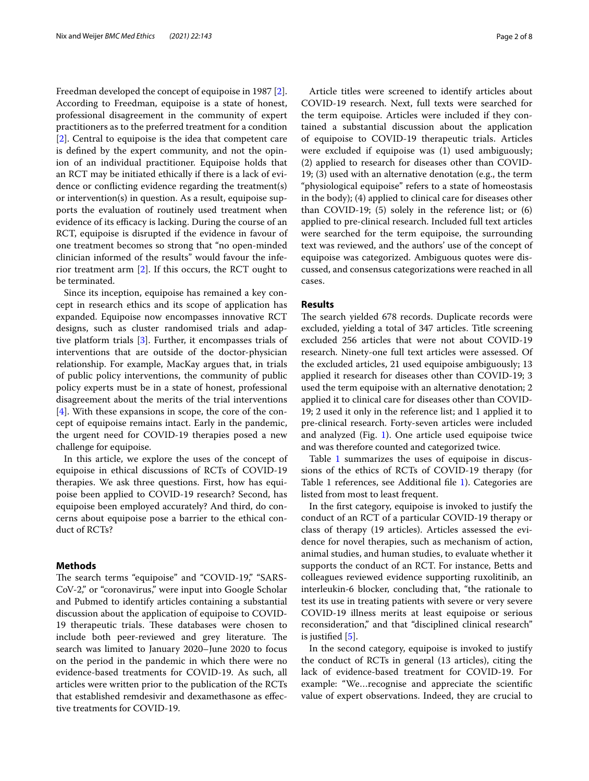Freedman developed the concept of equipoise in 1987 [\[2](#page-6-1)]. According to Freedman, equipoise is a state of honest, professional disagreement in the community of expert practitioners as to the preferred treatment for a condition [[2\]](#page-6-1). Central to equipoise is the idea that competent care is defned by the expert community, and not the opinion of an individual practitioner. Equipoise holds that an RCT may be initiated ethically if there is a lack of evidence or conficting evidence regarding the treatment(s) or intervention(s) in question. As a result, equipoise supports the evaluation of routinely used treatment when evidence of its efficacy is lacking. During the course of an RCT, equipoise is disrupted if the evidence in favour of one treatment becomes so strong that "no open-minded clinician informed of the results" would favour the inferior treatment arm [[2\]](#page-6-1). If this occurs, the RCT ought to be terminated.

Since its inception, equipoise has remained a key concept in research ethics and its scope of application has expanded. Equipoise now encompasses innovative RCT designs, such as cluster randomised trials and adaptive platform trials [[3\]](#page-6-2). Further, it encompasses trials of interventions that are outside of the doctor-physician relationship. For example, MacKay argues that, in trials of public policy interventions, the community of public policy experts must be in a state of honest, professional disagreement about the merits of the trial interventions [[4\]](#page-6-3). With these expansions in scope, the core of the concept of equipoise remains intact. Early in the pandemic, the urgent need for COVID-19 therapies posed a new challenge for equipoise.

In this article, we explore the uses of the concept of equipoise in ethical discussions of RCTs of COVID-19 therapies. We ask three questions. First, how has equipoise been applied to COVID-19 research? Second, has equipoise been employed accurately? And third, do concerns about equipoise pose a barrier to the ethical conduct of RCTs?

# **Methods**

The search terms "equipoise" and "COVID-19," "SARS-CoV-2," or "coronavirus," were input into Google Scholar and Pubmed to identify articles containing a substantial discussion about the application of equipoise to COVID-19 therapeutic trials. These databases were chosen to include both peer-reviewed and grey literature. The search was limited to January 2020–June 2020 to focus on the period in the pandemic in which there were no evidence-based treatments for COVID-19. As such, all articles were written prior to the publication of the RCTs that established remdesivir and dexamethasone as efective treatments for COVID-19.

Article titles were screened to identify articles about COVID-19 research. Next, full texts were searched for the term equipoise. Articles were included if they contained a substantial discussion about the application of equipoise to COVID-19 therapeutic trials. Articles were excluded if equipoise was (1) used ambiguously; (2) applied to research for diseases other than COVID-19; (3) used with an alternative denotation (e.g., the term "physiological equipoise" refers to a state of homeostasis in the body); (4) applied to clinical care for diseases other than COVID-19; (5) solely in the reference list; or (6) applied to pre-clinical research. Included full text articles were searched for the term equipoise, the surrounding text was reviewed, and the authors' use of the concept of equipoise was categorized. Ambiguous quotes were discussed, and consensus categorizations were reached in all cases.

# **Results**

The search yielded 678 records. Duplicate records were excluded, yielding a total of 347 articles. Title screening excluded 256 articles that were not about COVID-19 research. Ninety-one full text articles were assessed. Of the excluded articles, 21 used equipoise ambiguously; 13 applied it research for diseases other than COVID-19; 3 used the term equipoise with an alternative denotation; 2 applied it to clinical care for diseases other than COVID-19; 2 used it only in the reference list; and 1 applied it to pre-clinical research. Forty-seven articles were included and analyzed (Fig. [1](#page-2-0)). One article used equipoise twice and was therefore counted and categorized twice.

Table [1](#page-3-0) summarizes the uses of equipoise in discussions of the ethics of RCTs of COVID-19 therapy (for Table 1 references, see Additional fle [1](#page-6-4)). Categories are listed from most to least frequent.

In the frst category, equipoise is invoked to justify the conduct of an RCT of a particular COVID-19 therapy or class of therapy (19 articles). Articles assessed the evidence for novel therapies, such as mechanism of action, animal studies, and human studies, to evaluate whether it supports the conduct of an RCT. For instance, Betts and colleagues reviewed evidence supporting ruxolitinib, an interleukin-6 blocker, concluding that, "the rationale to test its use in treating patients with severe or very severe COVID-19 illness merits at least equipoise or serious reconsideration," and that "disciplined clinical research" is justifed [[5\]](#page-6-5).

In the second category, equipoise is invoked to justify the conduct of RCTs in general (13 articles), citing the lack of evidence-based treatment for COVID-19. For example: "We…recognise and appreciate the scientifc value of expert observations. Indeed, they are crucial to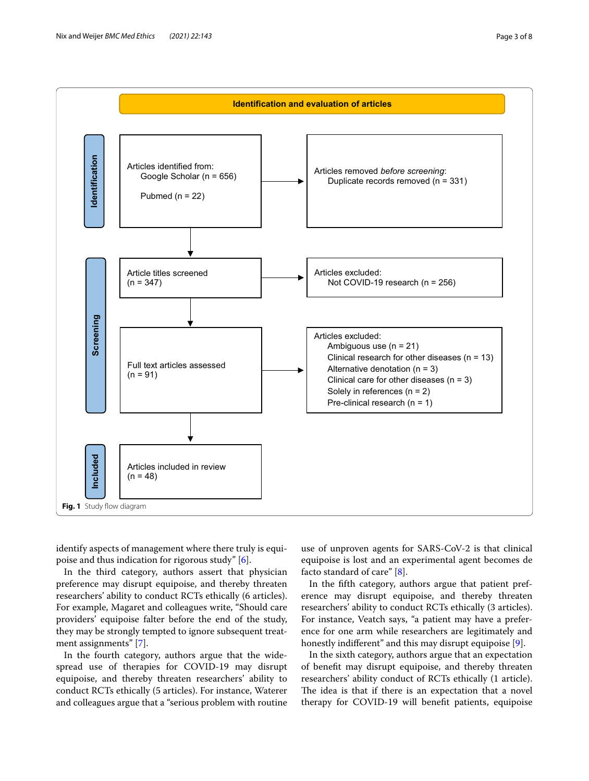

<span id="page-2-0"></span>identify aspects of management where there truly is equipoise and thus indication for rigorous study" [[6\]](#page-6-6).

In the third category, authors assert that physician preference may disrupt equipoise, and thereby threaten researchers' ability to conduct RCTs ethically (6 articles). For example, Magaret and colleagues write, "Should care providers' equipoise falter before the end of the study, they may be strongly tempted to ignore subsequent treatment assignments" [[7\]](#page-7-0).

In the fourth category, authors argue that the widespread use of therapies for COVID-19 may disrupt equipoise, and thereby threaten researchers' ability to conduct RCTs ethically (5 articles). For instance, Waterer and colleagues argue that a "serious problem with routine

use of unproven agents for SARS-CoV-2 is that clinical equipoise is lost and an experimental agent becomes de facto standard of care" [\[8](#page-7-1)].

In the ffth category, authors argue that patient preference may disrupt equipoise, and thereby threaten researchers' ability to conduct RCTs ethically (3 articles). For instance, Veatch says, "a patient may have a preference for one arm while researchers are legitimately and honestly indiferent" and this may disrupt equipoise [\[9](#page-7-2)].

In the sixth category, authors argue that an expectation of beneft may disrupt equipoise, and thereby threaten researchers' ability conduct of RCTs ethically (1 article). The idea is that if there is an expectation that a novel therapy for COVID-19 will beneft patients, equipoise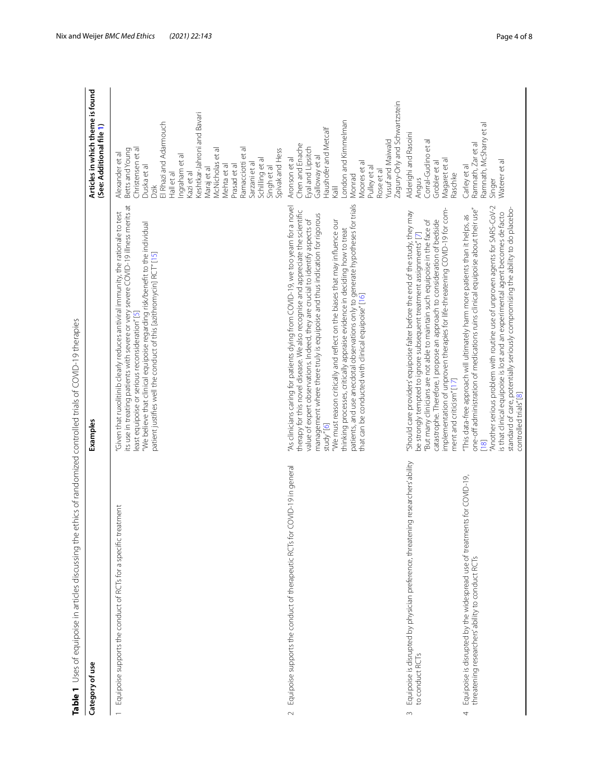| Table 1 Uses of equipoise in articles discussing the ethics of randomized controlled trials of COVID-19 therapies                 |                                                                                                                                                                                                                                                                                                                                                                                                                                                                                                                                                                                                                                                       |                                                                                                                                                                                                                                                                                                                                                   |
|-----------------------------------------------------------------------------------------------------------------------------------|-------------------------------------------------------------------------------------------------------------------------------------------------------------------------------------------------------------------------------------------------------------------------------------------------------------------------------------------------------------------------------------------------------------------------------------------------------------------------------------------------------------------------------------------------------------------------------------------------------------------------------------------------------|---------------------------------------------------------------------------------------------------------------------------------------------------------------------------------------------------------------------------------------------------------------------------------------------------------------------------------------------------|
| Category of use                                                                                                                   | Examples                                                                                                                                                                                                                                                                                                                                                                                                                                                                                                                                                                                                                                              | Articles in which theme is found<br>(See: Additional file 1)                                                                                                                                                                                                                                                                                      |
| atment<br>Equipoise supports the conduct of RCTs for a specific tre                                                               | its use in treating patients with severe or very severe COVID-19 illness merits at<br>Given that ruxolitinib clearly reduces antiviral immunity, the rationale to test<br>"We believe that clinical equipoise regarding risk/benefit to the individual<br>patient justifies well the conduct of this [azithromycin] RCT" [15]<br>least equipoise or serious reconsideration" [5]                                                                                                                                                                                                                                                                      | Keshtkar-Jahroni and Bavari<br>El Rhazi and Adarmouch<br>Ramacciotti et al<br>Christensen et al<br>Betts and Young<br>McNicholas et al<br>Spivak and Hess<br>Alexander et al<br>ngraham et al<br>Schilling et al<br>Sarzani et al<br>Mehta et al<br>Prasad et al<br>Duska et al<br>Maraj et al<br>Singh et al<br>Kazi et al<br>Hall et al<br>Dzik |
| COVID-19 in general<br>Equipoise supports the conduct of therapeutic RCTs for<br>$\sim$                                           | patients, and use anecdotal observations only to generate hypotheses for trials<br>"As clinicians caring for patients dying from COVID-19, we too yearn for a novel<br>therapy for this novel disease. We also recognise and appreciate the scientific<br>management where there truly is equipoise and thus indication for rigorous<br>value of expert observations. Indeed, they are crucial to identify aspects of<br>"We must reason critically and reflect on the biases that may influence our<br>thinking processes, critically appraise evidence in deciding how to treat<br>that can be conducted with clinical equipoise"[16]<br>study''[6] | Zagury-Orly and Schwartzstein<br>London and Kimmelman<br>Haushofer and Metcalf<br>Yusuf and Maiwald<br>Chen and Enache<br>Eyal and Lipsitch<br>Galloway et al<br>Aronson et al<br>Moores et al<br>Pulley et al<br>Rose et al<br>Monrad<br>Kalil                                                                                                   |
| Equipoise is disrupted by physician preference, threatening researchers'ability<br>to conduct RCTs<br>$\sim$                      | mplementation of unproven therapies for life-threatening COVID-19 for com-<br>Should care providers' equipoise falter before the end of the study, they may<br>catastrophe. Therefore, I propose an approach to consideration of bedside<br>But many clinicians are not able to maintain such equipoise in the face of<br>be strongly tempted to ignore subsequent treatment assignments"[7]<br>ment and criticism" [17]                                                                                                                                                                                                                              | Alderighi and Rasoini<br>Corral-Gudino et al<br>Magaret et al<br>Grobler et al<br>Raschke<br>Angus                                                                                                                                                                                                                                                |
| Equipoise is disrupted by the widespread use of treatments for COVID-19,<br>threatening researchers' ability to conduct RCTs<br>4 | "Another serious problem with routine use of unproven agents for SARS-CoV-2<br>one-off administration of medications ruins clinical equipoise about their use"<br>standard of care, potentially seriously compromising the ability to do placebo-<br>is that clinical equipoise is lost and an experimental agent becomes de facto<br>"This data-free approach will ultimately harm more patients than it helps, as<br>controlled trials" [8]<br>$\frac{18}{2}$                                                                                                                                                                                       | Ramnath, McSharry et al<br>Ramnath, Zar et al<br>Waterer et al<br>Carley et al<br>Singer                                                                                                                                                                                                                                                          |

<span id="page-3-0"></span> $\frac{4}{3}$  $\frac{1}{2}$  $20, 40$  $\frac{1}{2}$ L.  $\equiv$ L. - 1  $\frac{1}{2}$  $\mathbf{u}$ Ė  $\frac{1}{2}$  $\frac{1}{\pi}$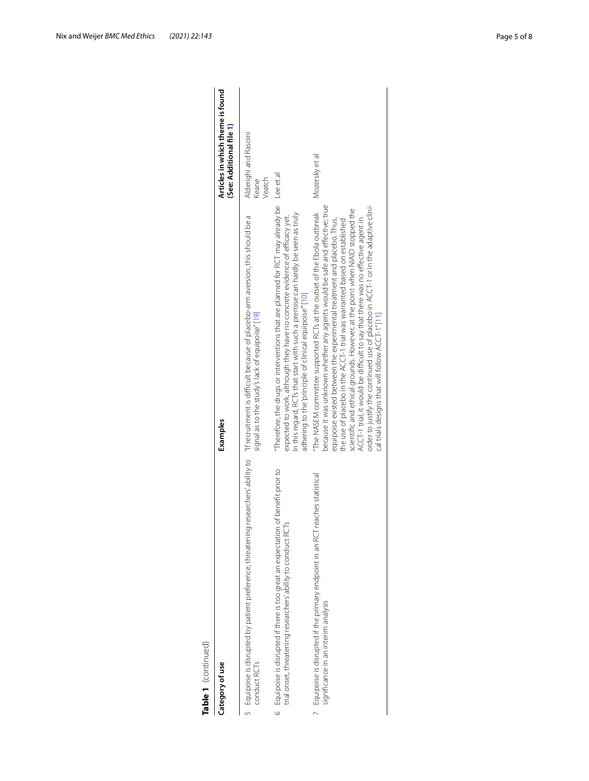| Category of use                                                                                                                                                                   | Examples                                                                                                                                                                                                                                                                                                                                                                                                                                                                                                                                                                                                                   | Articles in which theme is found<br>(See: Additional file 1) |
|-----------------------------------------------------------------------------------------------------------------------------------------------------------------------------------|----------------------------------------------------------------------------------------------------------------------------------------------------------------------------------------------------------------------------------------------------------------------------------------------------------------------------------------------------------------------------------------------------------------------------------------------------------------------------------------------------------------------------------------------------------------------------------------------------------------------------|--------------------------------------------------------------|
| 5 Equipoise is disrupted by patient preference, threatening researchers ability to "If recruitment is difficult because of placebo-arm aversion, this should be a<br>conduct RCTs | signal as to the study's lack of equipoise" [19]                                                                                                                                                                                                                                                                                                                                                                                                                                                                                                                                                                           | Alderighi and Rasoini<br>Veatch<br>Keane                     |
| Equipoise is disrupted if there is too great an expectation of benefit prior to<br>trial onset, threatening researchers' ability to conduct RCTs<br>$\circ$                       | Therefore, the drugs or interventions that are planned for RCT may already be<br>In this regard, RCTs that start with such a premise can hardly be seen as truly<br>expected to work, although they have no concrete evidence of efficacy yet.<br>adhering to the 'principle of clinical equipoise" [10]                                                                                                                                                                                                                                                                                                                   | Lee et al                                                    |
| Equipoise is disrupted if the primary endpoint in an RCT reaches statistical<br>significance in an interim analysis                                                               | because it was unknown whether any agents would be safe and effective; true<br>order to justify the continued use of placebo in ACCT-1 or in the adaptive clini-<br>"The NASEM committee supported RCTs at the outset of the Ebola outbreak<br>scientific and ethical grounds. However, at the point when NIAID stopped the<br>ACCT-1 trial, it would be difficult to say that there was no effective agent in<br>equipoise existed between the experimental treatment and placebo. Thus,<br>the use of placebo in the ACCT-1 trial was warranted based on established<br>cal trials designs that will follow ACCT-1" [11] | Mozersky et al                                               |

Table 1 (continued)<br>Category of use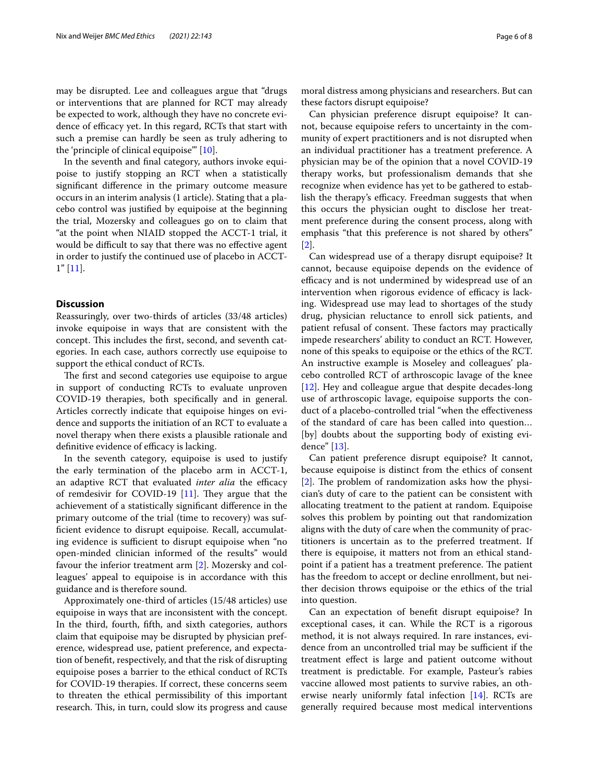may be disrupted. Lee and colleagues argue that "drugs or interventions that are planned for RCT may already be expected to work, although they have no concrete evidence of efficacy yet. In this regard, RCTs that start with such a premise can hardly be seen as truly adhering to the 'principle of clinical equipoise'" [[10\]](#page-7-8).

In the seventh and fnal category, authors invoke equipoise to justify stopping an RCT when a statistically signifcant diference in the primary outcome measure occurs in an interim analysis (1 article). Stating that a placebo control was justifed by equipoise at the beginning the trial, Mozersky and colleagues go on to claim that "at the point when NIAID stopped the ACCT-1 trial, it would be difficult to say that there was no effective agent in order to justify the continued use of placebo in ACCT-1" [[11\]](#page-7-9).

# **Discussion**

Reassuringly, over two-thirds of articles (33/48 articles) invoke equipoise in ways that are consistent with the concept. This includes the first, second, and seventh categories. In each case, authors correctly use equipoise to support the ethical conduct of RCTs.

The first and second categories use equipoise to argue in support of conducting RCTs to evaluate unproven COVID-19 therapies, both specifcally and in general. Articles correctly indicate that equipoise hinges on evidence and supports the initiation of an RCT to evaluate a novel therapy when there exists a plausible rationale and definitive evidence of efficacy is lacking.

In the seventh category, equipoise is used to justify the early termination of the placebo arm in ACCT-1, an adaptive RCT that evaluated *inter alia* the efficacy of remdesivir for COVID-19  $[11]$ . They argue that the achievement of a statistically signifcant diference in the primary outcome of the trial (time to recovery) was suffcient evidence to disrupt equipoise. Recall, accumulating evidence is sufficient to disrupt equipoise when "no open-minded clinician informed of the results" would favour the inferior treatment arm [[2\]](#page-6-1). Mozersky and colleagues' appeal to equipoise is in accordance with this guidance and is therefore sound.

Approximately one-third of articles (15/48 articles) use equipoise in ways that are inconsistent with the concept. In the third, fourth, ffth, and sixth categories, authors claim that equipoise may be disrupted by physician preference, widespread use, patient preference, and expectation of beneft, respectively, and that the risk of disrupting equipoise poses a barrier to the ethical conduct of RCTs for COVID-19 therapies. If correct, these concerns seem to threaten the ethical permissibility of this important research. This, in turn, could slow its progress and cause moral distress among physicians and researchers. But can these factors disrupt equipoise?

Can physician preference disrupt equipoise? It cannot, because equipoise refers to uncertainty in the community of expert practitioners and is not disrupted when an individual practitioner has a treatment preference. A physician may be of the opinion that a novel COVID-19 therapy works, but professionalism demands that she recognize when evidence has yet to be gathered to establish the therapy's efficacy. Freedman suggests that when this occurs the physician ought to disclose her treatment preference during the consent process, along with emphasis "that this preference is not shared by others" [[2\]](#page-6-1).

Can widespread use of a therapy disrupt equipoise? It cannot, because equipoise depends on the evidence of efficacy and is not undermined by widespread use of an intervention when rigorous evidence of efficacy is lacking. Widespread use may lead to shortages of the study drug, physician reluctance to enroll sick patients, and patient refusal of consent. These factors may practically impede researchers' ability to conduct an RCT. However, none of this speaks to equipoise or the ethics of the RCT. An instructive example is Moseley and colleagues' placebo controlled RCT of arthroscopic lavage of the knee [[12\]](#page-7-10). Hey and colleague argue that despite decades-long use of arthroscopic lavage, equipoise supports the conduct of a placebo-controlled trial "when the efectiveness of the standard of care has been called into question… [by] doubts about the supporting body of existing evidence" [[13\]](#page-7-11).

Can patient preference disrupt equipoise? It cannot, because equipoise is distinct from the ethics of consent  $[2]$  $[2]$ . The problem of randomization asks how the physician's duty of care to the patient can be consistent with allocating treatment to the patient at random. Equipoise solves this problem by pointing out that randomization aligns with the duty of care when the community of practitioners is uncertain as to the preferred treatment. If there is equipoise, it matters not from an ethical standpoint if a patient has a treatment preference. The patient has the freedom to accept or decline enrollment, but neither decision throws equipoise or the ethics of the trial into question.

Can an expectation of beneft disrupt equipoise? In exceptional cases, it can. While the RCT is a rigorous method, it is not always required. In rare instances, evidence from an uncontrolled trial may be sufficient if the treatment efect is large and patient outcome without treatment is predictable. For example, Pasteur's rabies vaccine allowed most patients to survive rabies, an otherwise nearly uniformly fatal infection [[14](#page-7-12)]. RCTs are generally required because most medical interventions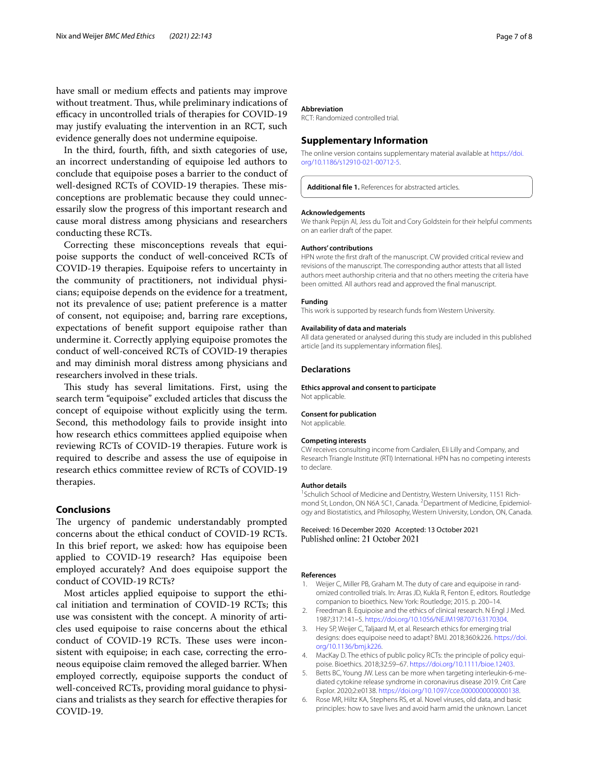have small or medium efects and patients may improve without treatment. Thus, while preliminary indications of efficacy in uncontrolled trials of therapies for COVID-19 may justify evaluating the intervention in an RCT, such evidence generally does not undermine equipoise.

In the third, fourth, ffth, and sixth categories of use, an incorrect understanding of equipoise led authors to conclude that equipoise poses a barrier to the conduct of well-designed RCTs of COVID-19 therapies. These misconceptions are problematic because they could unnecessarily slow the progress of this important research and cause moral distress among physicians and researchers conducting these RCTs.

Correcting these misconceptions reveals that equipoise supports the conduct of well-conceived RCTs of COVID-19 therapies. Equipoise refers to uncertainty in the community of practitioners, not individual physicians; equipoise depends on the evidence for a treatment, not its prevalence of use; patient preference is a matter of consent, not equipoise; and, barring rare exceptions, expectations of beneft support equipoise rather than undermine it. Correctly applying equipoise promotes the conduct of well-conceived RCTs of COVID-19 therapies and may diminish moral distress among physicians and researchers involved in these trials.

This study has several limitations. First, using the search term "equipoise" excluded articles that discuss the concept of equipoise without explicitly using the term. Second, this methodology fails to provide insight into how research ethics committees applied equipoise when reviewing RCTs of COVID-19 therapies. Future work is required to describe and assess the use of equipoise in research ethics committee review of RCTs of COVID-19 therapies.

# **Conclusions**

The urgency of pandemic understandably prompted concerns about the ethical conduct of COVID-19 RCTs. In this brief report, we asked: how has equipoise been applied to COVID-19 research? Has equipoise been employed accurately? And does equipoise support the conduct of COVID-19 RCTs?

Most articles applied equipoise to support the ethical initiation and termination of COVID-19 RCTs; this use was consistent with the concept. A minority of articles used equipoise to raise concerns about the ethical conduct of COVID-19 RCTs. These uses were inconsistent with equipoise; in each case, correcting the erroneous equipoise claim removed the alleged barrier. When employed correctly, equipoise supports the conduct of well-conceived RCTs, providing moral guidance to physicians and trialists as they search for efective therapies for COVID-19.

#### **Abbreviation**

RCT: Randomized controlled trial.

## **Supplementary Information**

The online version contains supplementary material available at [https://doi.](https://doi.org/10.1186/s12910-021-00712-5) [org/10.1186/s12910-021-00712-5](https://doi.org/10.1186/s12910-021-00712-5).

<span id="page-6-4"></span>**Additional fle 1.** References for abstracted articles.

#### **Acknowledgements**

We thank Pepijn Al, Jess du Toit and Cory Goldstein for their helpful comments on an earlier draft of the paper.

#### **Authors' contributions**

HPN wrote the frst draft of the manuscript. CW provided critical review and revisions of the manuscript. The corresponding author attests that all listed authors meet authorship criteria and that no others meeting the criteria have been omitted. All authors read and approved the fnal manuscript.

# **Funding**

This work is supported by research funds from Western University.

#### **Availability of data and materials**

All data generated or analysed during this study are included in this published article [and its supplementary information fles].

## **Declarations**

**Ethics approval and consent to participate**

Not applicable.

## **Consent for publication**

Not applicable.

#### **Competing interests**

CW receives consulting income from Cardialen, Eli Lilly and Company, and Research Triangle Institute (RTI) International. HPN has no competing interests to declare.

#### **Author details**

<sup>1</sup> Schulich School of Medicine and Dentistry, Western University, 1151 Richmond St, London, ON N6A 5C1, Canada. <sup>2</sup> Department of Medicine, Epidemiology and Biostatistics, and Philosophy, Western University, London, ON, Canada.

Received: 16 December 2020 Accepted: 13 October 2021 Published online: 21 October 2021

### **References**

- <span id="page-6-0"></span>1. Weijer C, Miller PB, Graham M. The duty of care and equipoise in randomized controlled trials. In: Arras JD, Kukla R, Fenton E, editors. Routledge companion to bioethics. New York: Routledge; 2015. p. 200–14.
- <span id="page-6-1"></span>2. Freedman B. Equipoise and the ethics of clinical research. N Engl J Med. 1987;317:141–5. [https://doi.org/10.1056/NEJM198707163170304.](https://doi.org/10.1056/NEJM198707163170304)
- <span id="page-6-2"></span>3. Hey SP, Weijer C, Taljaard M, et al. Research ethics for emerging trial designs: does equipoise need to adapt? BMJ. 2018;360:k226. [https://doi.](https://doi.org/10.1136/bmj.k226) [org/10.1136/bmj.k226.](https://doi.org/10.1136/bmj.k226)
- <span id="page-6-3"></span>4. MacKay D. The ethics of public policy RCTs: the principle of policy equipoise. Bioethics. 2018;32:59–67. <https://doi.org/10.1111/bioe.12403>.
- <span id="page-6-5"></span>5. Betts BC, Young JW. Less can be more when targeting interleukin-6-mediated cytokine release syndrome in coronavirus disease 2019. Crit Care Explor. 2020;2:e0138.<https://doi.org/10.1097/cce.0000000000000138>.
- <span id="page-6-6"></span>6. Rose MR, Hiltz KA, Stephens RS, et al. Novel viruses, old data, and basic principles: how to save lives and avoid harm amid the unknown. Lancet